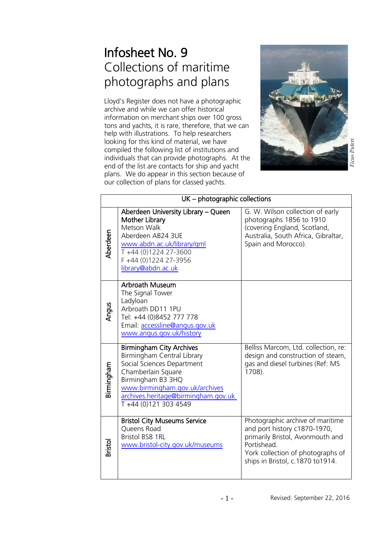# Infosheet No. 9 Collections of maritime photographs and plans

Lloyd's Register does not have a photographic archive and while we can offer historical information on merchant ships over 100 gross tons and yachts, it is rare, therefore, that we can help with illustrations. To help researchers looking for this kind of material, we have compiled the following list of institutions and individuals that can provide photographs. At the end of the list are contacts for ship and yacht plans. We do appear in this section because of our collection of plans for classed yachts.



|                | UK - photographic collections                                                                                                                                                                                                            |                                                                                                                                                                                              |
|----------------|------------------------------------------------------------------------------------------------------------------------------------------------------------------------------------------------------------------------------------------|----------------------------------------------------------------------------------------------------------------------------------------------------------------------------------------------|
| Aberdeen       | Aberdeen University Library - Queen<br><b>Mother Library</b><br>Metson Walk<br>Aberdeen AB24 3UE<br>www.abdn.ac.uk/library/gml<br>T+44 (0)1224 27-3600<br>F +44 (0)1224 27-3956<br>library@abdn.ac.uk                                    | G. W. Wilson collection of early<br>photographs 1856 to 1910<br>(covering England, Scotland,<br>Australia, South Africa, Gibraltar,<br>Spain and Morocco).                                   |
| Angus          | <b>Arbroath Museum</b><br>The Signal Tower<br>Ladyloan<br>Arbroath DD11 1PU<br>Tel: +44 (0)8452 777 778<br>Email: accessline@angus.gov.uk<br>www.angus.gov.uk/history                                                                    |                                                                                                                                                                                              |
| Birmingham     | <b>Birmingham City Archives</b><br>Birmingham Central Library<br>Social Sciences Department<br>Chamberlain Square<br>Birmingham B3 3HQ<br>www.birmingham.gov.uk/archives<br>archives.heritage@birmingham.gov.uk<br>T +44 (0)121 303 4549 | Belliss Marcom, Ltd. collection, re:<br>design and construction of steam,<br>gas and diesel turbines (Ref: MS<br>1708).                                                                      |
| <b>Bristol</b> | <b>Bristol City Museums Service</b><br>Queens Road<br><b>Bristol BS8 1RL</b><br>www.bristol-city.gov.uk/museums                                                                                                                          | Photographic archive of maritime<br>and port history c1870-1970,<br>primarily Bristol, Avonmouth and<br>Portishead.<br>York collection of photographs of<br>ships in Bristol, c.1870 to1914. |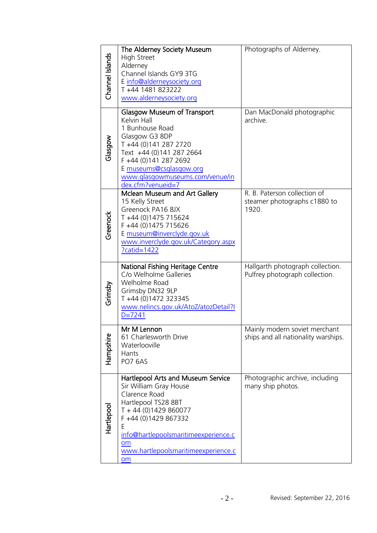| Channel Islands | The Alderney Society Museum<br><b>High Street</b><br>Alderney<br>Channel Islands GY9 3TG<br>E info@alderneysociety.org<br>T+44 1481 823222<br>www.alderneysociety.org                                                                                        | Photographs of Alderney.                                              |
|-----------------|--------------------------------------------------------------------------------------------------------------------------------------------------------------------------------------------------------------------------------------------------------------|-----------------------------------------------------------------------|
| Glasgow         | <b>Glasgow Museum of Transport</b><br>Kelvin Hall<br>1 Bunhouse Road<br>Glasgow G3 8DP<br>T +44 (0)141 287 2720<br>Text +44 (0)141 287 2664<br>F +44 (0)141 287 2692<br>E museums@csglasgow.org<br>www.glasgowmuseums.com/venue/in<br>dex.cfm?venueid=7      | Dan MacDonald photographic<br>archive.                                |
| Greenock        | Mclean Museum and Art Gallery<br>15 Kelly Street<br>Greenock PA16 8JX<br>T +44 (0)1475 715624<br>F +44 (0)1475 715626<br>E museum@inverclyde.gov.uk<br>www.inverclyde.gov.uk/Category.aspx<br>?catid=1422                                                    | R. B. Paterson collection of<br>steamer photographs c1880 to<br>1920. |
| Grimsby         | National Fishing Heritage Centre<br>C/o Welholme Galleries<br>Welholme Road<br>Grimsby DN32 9LP<br>T +44 (0)1472 323345<br>www.nelincs.gov.uk/AtoZ/atozDetail?I<br>$D = 7241$                                                                                | Hallgarth photograph collection.<br>Pulfrey photograph collection.    |
| Hampshire       | Mr M Lennon<br>61 Charlesworth Drive<br>Waterlooville<br><b>Hants</b><br>PO7 6AS                                                                                                                                                                             | Mainly modern soviet merchant<br>ships and all nationality warships.  |
| Hartlepool      | Hartlepool Arts and Museum Service<br>Sir William Gray House<br>Clarence Road<br>Hartlepool TS28 8BT<br>T + 44 (0)1429 860077<br>F +44 (0)1429 867332<br>Ε<br>info@hartlepoolsmaritimeexperience.c<br>om<br>www.hartlepoolsmaritimeexperience.c<br><b>om</b> | Photographic archive, including<br>many ship photos.                  |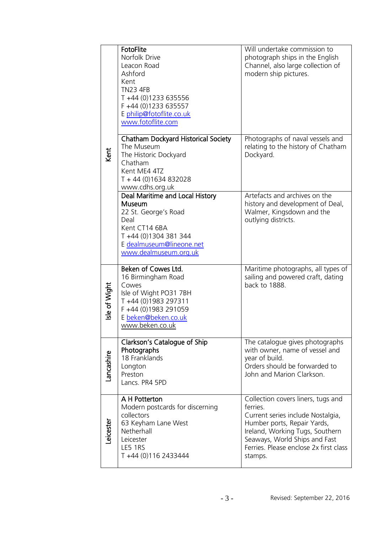| Kent          | FotoFlite<br>Norfolk Drive<br>Leacon Road<br>Ashford<br>Kent<br><b>TN23 4FB</b><br>T +44 (0)1233 635556<br>F +44 (0)1233 635557<br>E philip@fotoflite.co.uk<br>www.fotoflite.com | Will undertake commission to<br>photograph ships in the English<br>Channel, also large collection of<br>modern ship pictures.                                                                                                               |
|---------------|----------------------------------------------------------------------------------------------------------------------------------------------------------------------------------|---------------------------------------------------------------------------------------------------------------------------------------------------------------------------------------------------------------------------------------------|
|               | Chatham Dockyard Historical Society<br>The Museum<br>The Historic Dockyard<br>Chatham<br>Kent ME4 4TZ<br>T + 44 (0) 1634 832028<br>www.cdhs.org.uk                               | Photographs of naval vessels and<br>relating to the history of Chatham<br>Dockyard.                                                                                                                                                         |
|               | Deal Maritime and Local History<br><b>Museum</b><br>22 St. George's Road<br>Deal<br>Kent CT14 6BA<br>T +44 (0)1304 381 344<br>E dealmuseum@lineone.net<br>www.dealmuseum.org.uk  | Artefacts and archives on the<br>history and development of Deal,<br>Walmer, Kingsdown and the<br>outlying districts.                                                                                                                       |
| Isle of Wight | Beken of Cowes Ltd.<br>16 Birmingham Road<br>Cowes<br>Isle of Wight PO31 7BH<br>T +44 (0)1983 297311<br>F +44 (0)1983 291059<br>E beken@beken.co.uk<br>www.beken.co.uk           | Maritime photographs, all types of<br>sailing and powered craft, dating<br>back to 1888.                                                                                                                                                    |
| Lancashire    | Clarkson's Catalogue of Ship<br>Photographs<br>18 Franklands<br>Longton<br>Preston<br>Lancs. PR4 5PD                                                                             | The catalogue gives photographs<br>with owner, name of vessel and<br>year of build.<br>Orders should be forwarded to<br>John and Marion Clarkson.                                                                                           |
| Leicester     | A H Potterton<br>Modern postcards for discerning<br>collectors<br>63 Keyham Lane West<br>Netherhall<br>Leicester<br>LE5 1RS<br>T +44 (0)116 2433444                              | Collection covers liners, tugs and<br>ferries.<br>Current series include Nostalgia,<br>Humber ports, Repair Yards,<br>Ireland, Working Tugs, Southern<br>Seaways, World Ships and Fast<br>Ferries. Please enclose 2x first class<br>stamps. |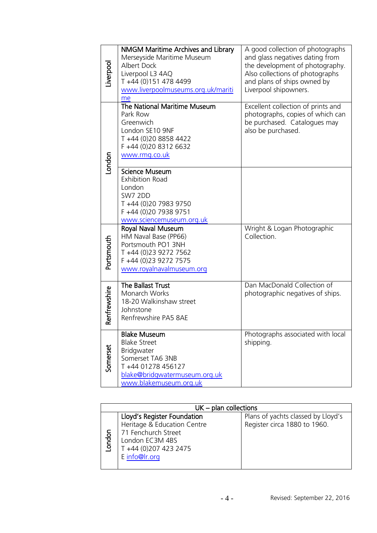| Liverpool    | NMGM Maritime Archives and Library<br>Merseyside Maritime Museum<br><b>Albert Dock</b><br>Liverpool L3 4AQ<br>T +44 (0)151 478 4499<br>www.liverpoolmuseums.org.uk/mariti<br>me | A good collection of photographs<br>and glass negatives dating from<br>the development of photography.<br>Also collections of photographs<br>and plans of ships owned by<br>Liverpool shipowners. |
|--------------|---------------------------------------------------------------------------------------------------------------------------------------------------------------------------------|---------------------------------------------------------------------------------------------------------------------------------------------------------------------------------------------------|
| London       | The National Maritime Museum<br>Park Row<br>Greenwich<br>London SE10 9NF<br>T +44 (0)20 8858 4422<br>F +44 (0)20 8312 6632<br>www.rmg.co.uk                                     | Excellent collection of prints and<br>photographs, copies of which can<br>be purchased. Catalogues may<br>also be purchased.                                                                      |
|              | <b>Science Museum</b><br><b>Exhibition Road</b><br>London<br><b>SW7 2DD</b><br>T +44 (0)20 7983 9750<br>F +44 (0)20 7938 9751<br>www.sciencemuseum.org.uk                       |                                                                                                                                                                                                   |
| Portsmouth   | Royal Naval Museum<br>HM Naval Base (PP66)<br>Portsmouth PO1 3NH<br>T +44 (0)23 9272 7562<br>F +44 (0)23 9272 7575<br>www.royalnavalmuseum.org                                  | Wright & Logan Photographic<br>Collection.                                                                                                                                                        |
| Renfrewshire | The Ballast Trust<br>Monarch Works<br>18-20 Walkinshaw street<br>Johnstone<br>Renfrewshire PA5 8AE                                                                              | Dan MacDonald Collection of<br>photographic negatives of ships.                                                                                                                                   |
| Somerset     | <b>Blake Museum</b><br><b>Blake Street</b><br>Bridgwater<br>Somerset TA6 3NB<br>T+44 01278 456127<br>blake@bridgwatermuseum.org.uk<br>www.blakemuseum.org.uk                    | Photographs associated with local<br>shipping.                                                                                                                                                    |

| $UK$ – plan collections |                             |                                    |
|-------------------------|-----------------------------|------------------------------------|
|                         | Lloyd's Register Foundation | Plans of yachts classed by Lloyd's |
|                         | Heritage & Education Centre | Register circa 1880 to 1960.       |
|                         | 71 Fenchurch Street         |                                    |
| ondon                   | London EC3M 4BS             |                                    |
|                         | T +44 (0)207 423 2475       |                                    |
|                         | E info@lr.org               |                                    |
|                         |                             |                                    |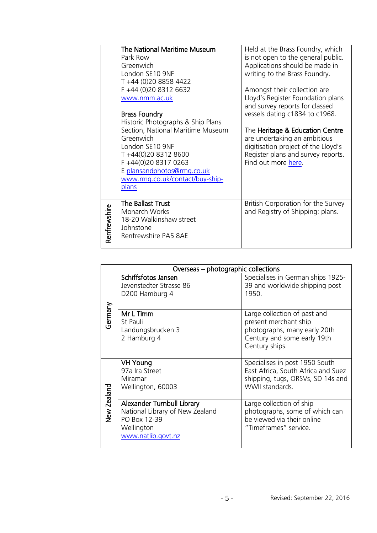|              | The National Maritime Museum      | Held at the Brass Foundry, which           |
|--------------|-----------------------------------|--------------------------------------------|
|              | Park Row                          | is not open to the general public.         |
|              | Greenwich                         | Applications should be made in             |
|              | London SE10 9NF                   | writing to the Brass Foundry.              |
|              | T +44 (0)20 8858 4422             |                                            |
|              | F +44 (0)20 8312 6632             | Amongst their collection are               |
|              | www.nmm.ac.uk                     | Lloyd's Register Foundation plans          |
|              |                                   | and survey reports for classed             |
|              | <b>Brass Foundry</b>              | vessels dating c1834 to c1968.             |
|              | Historic Photographs & Ship Plans |                                            |
|              | Section, National Maritime Museum | The <b>Heritage &amp; Education Centre</b> |
|              | Greenwich                         | are undertaking an ambitious               |
|              | London SE10 9NF                   | digitisation project of the Lloyd's        |
|              | T+44(0)20 8312 8600               | Register plans and survey reports.         |
|              | F+44(0)20 8317 0263               | Find out more here.                        |
|              | E plansandphotos@rmg.co.uk        |                                            |
|              | www.rmg.co.uk/contact/buy-ship-   |                                            |
|              | plans                             |                                            |
|              |                                   |                                            |
|              | The Ballast Trust                 | British Corporation for the Survey         |
|              | Monarch Works                     | and Registry of Shipping: plans.           |
|              | 18-20 Walkinshaw street           |                                            |
|              | Johnstone                         |                                            |
| Renfrewshire | Renfrewshire PA5 8AE              |                                            |
|              |                                   |                                            |

|             | Overseas – photographic collections                                                                               |                                                                                                                                        |  |
|-------------|-------------------------------------------------------------------------------------------------------------------|----------------------------------------------------------------------------------------------------------------------------------------|--|
|             | Schiffsfotos Jansen<br>Jevenstedter Strasse 86<br>D200 Hamburg 4                                                  | Specialises in German ships 1925-<br>39 and worldwide shipping post<br>1950.                                                           |  |
| Germany     | Mr L Timm<br>St Pauli<br>Landungsbrucken 3<br>2 Hamburg 4                                                         | Large collection of past and<br>present merchant ship<br>photographs, many early 20th<br>Century and some early 19th<br>Century ships. |  |
|             | <b>VH Young</b><br>97a Ira Street<br>Miramar<br>Wellington, 60003                                                 | Specialises in post 1950 South<br>East Africa, South Africa and Suez<br>shipping, tugs, ORSVs, SD 14s and<br>WWII standards.           |  |
| New Zealand | Alexander Turnbull Library<br>National Library of New Zealand<br>PO Box 12-39<br>Wellington<br>www.natlib.govt.nz | Large collection of ship<br>photographs, some of which can<br>be viewed via their online<br>"Timeframes" service.                      |  |